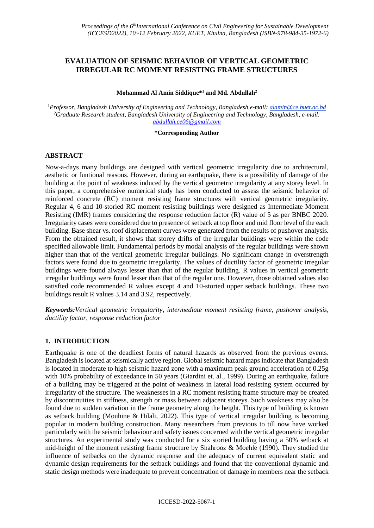# **EVALUATION OF SEISMIC BEHAVIOR OF VERTICAL GEOMETRIC IRREGULAR RC MOMENT RESISTING FRAME STRUCTURES**

#### **Mohammad Al Amin Siddique\* <sup>1</sup> and Md. Abdullah<sup>2</sup>**

<sup>1</sup>*Professor, Bangladesh University of Engineering and Technology, Bangladesh,e-mail: alamin@ce.buet.ac.bd <sup>2</sup>Graduate Research student, Bangladesh University of Engineering and Technology, Bangladesh, e-mail: [abdullah.ce06@gmail.com](mailto:abdullah.ce06@gmail.com)*

#### **\*Corresponding Author**

## **ABSTRACT**

Now-a-days many buildings are designed with vertical geometric irregularity due to architectural, aesthetic or funtional reasons. However, during an earthquake, there is a possibility of damage of the building at the point of weakness induced by the vertical geometric irregularity at any storey level. In this paper, a comprehensive numerical study has been conducted to assess the seismic behavior of reinforced concrete (RC) moment resisting frame structures with vertical geometric irregularity. Regular 4, 6 and 10-storied RC moment resisting buildings were designed as Intermediate Moment Resisting (IMR) frames considering the response reduction factor (R) value of 5 as per BNBC 2020. Irregularity cases were considered due to presence of setback at top floor and mid floor level of the each building. Base shear vs. roof displacement curves were generated from the results of pushover analysis. From the obtained result, it shows that storey drifts of the irregular buildings were within the code specified allowable limit. Fundamental periods by modal analysis of the regular buildings were shown higher than that of the vertical geometric irregular buildings. No significant change in overstrength factors were found due to geometric irregularity. The values of ductility factor of geometric irregular buildings were found always lesser than that of the regular building. R values in vertical geometric irregular buildings were found lesser than that of the regular one. However, those obtained values also satisfied code recommended R values except 4 and 10-storied upper setback buildings. These two buildings result R values 3.14 and 3.92, respectively.

*Keywords:Vertical geometric irregularity, intermediate moment resisting frame, pushover analysis, ductility factor, response reduction factor*

## **1. INTRODUCTION**

Earthquake is one of the deadliest forms of natural hazards as observed from the previous events. Bangladesh is located at seismically active region. Global seismic hazard maps indicate that Bangladesh is located in moderate to high seismic hazard zone with a maximum peak ground acceleration of 0.25g with 10% probability of exceedance in 50 years (Giardini et. al., 1999). During an earthquake, failure of a building may be triggered at the point of weakness in lateral load resisting system occurred by irregularity of the structure. The weaknesses in a RC moment resisting frame structure may be created by discontinuities in stiffness, strength or mass between adjacent storeys. Such weakness may also be found due to sudden variation in the frame geometry along the height. This type of building is known as setback building (Mouhine & Hilali, 2022). This type of vertical irregular building is becoming popular in modern building construction. Many researchers from previous to till now have worked particularly with the seismic behaviour and safety issues concerned with the vertical geometric irregular structures. An experimental study was conducted for a six storied building having a 50% setback at mid-height of the moment resisting frame structure by Shahrooz & Moehle (1990). They studied the influence of setbacks on the dynamic response and the adequacy of current equivalent static and dynamic design requirements for the setback buildings and found that the conventional dynamic and static design methods were inadequate to prevent concentration of damage in members near the setback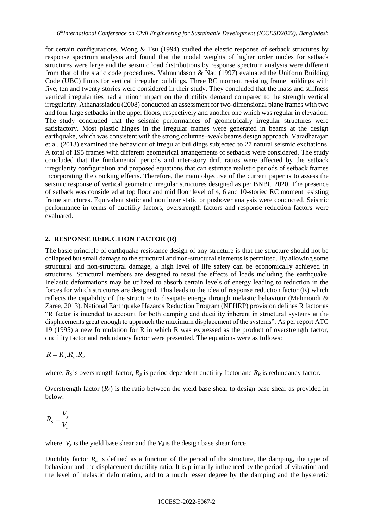for certain configurations. Wong & Tsu (1994) studied the elastic response of setback structures by response spectrum analysis and found that the modal weights of higher order modes for setback structures were large and the seismic load distributions by response spectrum analysis were different from that of the static code procedures. Valmundsson & Nau (1997) evaluated the Uniform Building Code (UBC) limits for vertical irregular buildings. Three RC moment resisting frame buildings with five, ten and twenty stories were considered in their study. They concluded that the mass and stiffness vertical irregularities had a minor impact on the ductility demand compared to the strength vertical irregularity. Athanassiadou (2008) conducted an assessment for two-dimensional plane frames with two and four large setbacks in the upper floors, respectively and another one which was regular in elevation. The study concluded that the seismic performances of geometrically irregular structures were satisfactory. Most plastic hinges in the irregular frames were generated in beams at the design earthquake, which was consistent with the strong columns–weak beams design approach. Varadharajan et al. (2013) examined the behaviour of irregular buildings subjected to 27 natural seismic excitations. A total of 195 frames with different geometrical arrangements of setbacks were considered. The study concluded that the fundamental periods and inter-story drift ratios were affected by the setback irregularity configuration and proposed equations that can estimate realistic periods of setback frames incorporating the cracking effects. Therefore, the main objective of the current paper is to assess the seismic response of vertical geometric irregular structures designed as per BNBC 2020. The presence of setback was considered at top floor and mid floor level of 4, 6 and 10-storied RC moment resisting frame structures. Equivalent static and nonlinear static or pushover analysis were conducted. Seismic performance in terms of ductility factors, overstrength factors and response reduction factors were evaluated.

## **2. RESPONSE REDUCTION FACTOR (R)**

The basic principle of earthquake resistance design of any structure is that the structure should not be collapsed but small damage to the structural and non-structural elements is permitted. By allowing some structural and non-structural damage, a high level of life safety can be economically achieved in structures. Structural members are designed to resist the effects of loads including the earthquake. Inelastic deformations may be utilized to absorb certain levels of energy leading to reduction in the forces for which structures are designed. This leads to the idea of response reduction factor (R) which reflects the capability of the structure to dissipate energy through inelastic behaviour (Mahmoudi & Zaree, 2013). National Earthquake Hazards Reduction Program (NEHRP) provision defines R factor as "R factor is intended to account for both damping and ductility inherent in structural systems at the displacements great enough to approach the maximum displacement of the systems". As per report ATC 19 (1995) a new formulation for R in which R was expressed as the product of overstrength factor, ductility factor and redundancy factor were presented. The equations were as follows:

$$
R=R_{\rm S}.R_\mu.R_{\rm R}
$$

where,  $R_S$  is overstrength factor,  $R_u$  is period dependent ductility factor and  $R_R$  is redundancy factor.

Overstrength factor  $(R<sub>S</sub>)$  is the ratio between the yield base shear to design base shear as provided in below:

$$
R_{S} = \frac{V_{y}}{V_{d}}
$$

where,  $V_y$  is the yield base shear and the  $V_d$  is the design base shear force.

Ductility factor  $R_\mu$  is defined as a function of the period of the structure, the damping, the type of behaviour and the displacement ductility ratio. It is primarily influenced by the period of vibration and the level of inelastic deformation, and to a much lesser degree by the damping and the hysteretic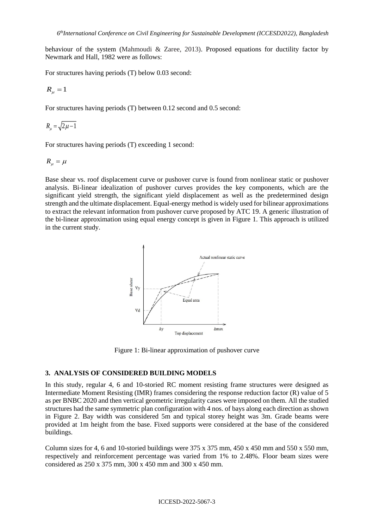behaviour of the system (Mahmoudi & Zaree, 2013). Proposed equations for ductility factor by Newmark and Hall, 1982 were as follows:

For structures having periods (T) below 0.03 second:

$$
R_{\mu} = 1
$$

For structures having periods (T) between 0.12 second and 0.5 second:

$$
R_\mu = \sqrt{2\mu-1}
$$

For structures having periods (T) exceeding 1 second:

$$
R_\mu=\mu
$$

Base shear vs. roof displacement curve or pushover curve is found from nonlinear static or pushover analysis. Bi-linear idealization of pushover curves provides the key components, which are the significant yield strength, the significant yield displacement as well as the predetermined design strength and the ultimate displacement. Equal-energy method is widely used for bilinear approximations to extract the relevant information from pushover curve proposed by ATC 19. A generic illustration of the bi-linear approximation using equal energy concept is given in Figure 1. This approach is utilized in the current study.



Figure 1: Bi-linear approximation of pushover curve

#### **3. ANALYSIS OF CONSIDERED BUILDING MODELS**

In this study, regular 4, 6 and 10-storied RC moment resisting frame structures were designed as Intermediate Moment Resisting (IMR) frames considering the response reduction factor (R) value of 5 as per BNBC 2020 and then vertical geometric irregularity cases were imposed on them. All the studied structures had the same symmetric plan configuration with 4 nos. of bays along each direction as shown in Figure 2. Bay width was considered 5m and typical storey height was 3m. Grade beams were provided at 1m height from the base. Fixed supports were considered at the base of the considered buildings.

Column sizes for 4, 6 and 10-storied buildings were  $375 \times 375$  mm,  $450 \times 450$  mm and  $550 \times 550$  mm, respectively and reinforcement percentage was varied from 1% to 2.48%. Floor beam sizes were considered as 250 x 375 mm, 300 x 450 mm and 300 x 450 mm.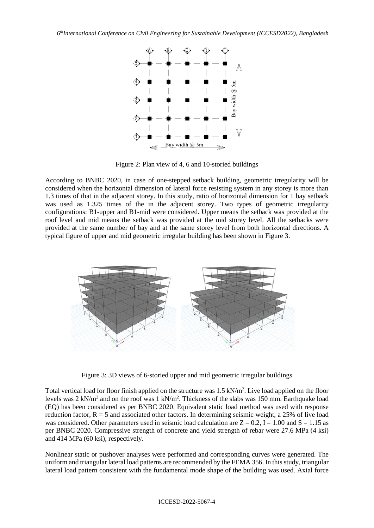

Figure 2: Plan view of 4, 6 and 10-storied buildings

According to BNBC 2020, in case of one-stepped setback building, geometric irregularity will be considered when the horizontal dimension of lateral force resisting system in any storey is more than 1.3 times of that in the adjacent storey. In this study, ratio of horizontal dimension for 1 bay setback was used as 1.325 times of the in the adjacent storey. Two types of geometric irregularity configurations: B1-upper and B1-mid were considered. Upper means the setback was provided at the roof level and mid means the setback was provided at the mid storey level. All the setbacks were provided at the same number of bay and at the same storey level from both horizontal directions. A typical figure of upper and mid geometric irregular building has been shown in Figure 3.



Figure 3: 3D views of 6-storied upper and mid geometric irregular buildings

Total vertical load for floor finish applied on the structure was 1.5 kN/m<sup>2</sup>. Live load applied on the floor levels was  $2 \text{ kN/m}^2$  and on the roof was  $1 \text{ kN/m}^2$ . Thickness of the slabs was 150 mm. Earthquake load (EQ) has been considered as per BNBC 2020. Equivalent static load method was used with response reduction factor,  $R = 5$  and associated other factors. In determining seismic weight, a 25% of live load was considered. Other parameters used in seismic load calculation are  $Z = 0.2$ , I = 1.00 and S = 1.15 as per BNBC 2020. Compressive strength of concrete and yield strength of rebar were 27.6 MPa (4 ksi) and 414 MPa (60 ksi), respectively.

Nonlinear static or pushover analyses were performed and corresponding curves were generated. The uniform and triangular lateral load patterns are recommended by the FEMA 356. In this study, triangular lateral load pattern consistent with the fundamental mode shape of the building was used. Axial force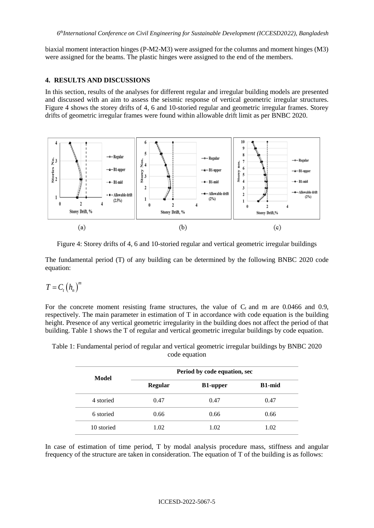biaxial moment interaction hinges (P-M2-M3) were assigned for the columns and moment hinges (M3) were assigned for the beams. The plastic hinges were assigned to the end of the members.

#### **4. RESULTS AND DISCUSSIONS**

In this section, results of the analyses for different regular and irregular building models are presented and discussed with an aim to assess the seismic response of vertical geometric irregular structures. Figure 4 shows the storey drifts of 4, 6 and 10-storied regular and geometric irregular frames. Storey drifts of geometric irregular frames were found within allowable drift limit as per BNBC 2020.



Figure 4: Storey drifts of 4, 6 and 10-storied regular and vertical geometric irregular buildings

The fundamental period (T) of any building can be determined by the following BNBC 2020 code equation:

$$
T=C_{t}\left(h_{n}\right)^{n}
$$

For the concrete moment resisting frame structures, the value of  $C_t$  and m are 0.0466 and 0.9, respectively. The main parameter in estimation of T in accordance with code equation is the building height. Presence of any vertical geometric irregularity in the building does not affect the period of that building. Table 1 shows the T of regular and vertical geometric irregular buildings by code equation.

| Period by code equation, sec |                 |               |  |  |  |
|------------------------------|-----------------|---------------|--|--|--|
| <b>Regular</b>               | <b>B1-upper</b> | <b>B1-mid</b> |  |  |  |
| 0.47                         | 0.47            | 0.47          |  |  |  |
| 0.66                         | 0.66            | 0.66          |  |  |  |
| 1.02                         | 1.02            | 1.02          |  |  |  |
|                              |                 |               |  |  |  |

Table 1: Fundamental period of regular and vertical geometric irregular buildings by BNBC 2020 code equation

In case of estimation of time period, T by modal analysis procedure mass, stiffness and angular frequency of the structure are taken in consideration. The equation of T of the building is as follows: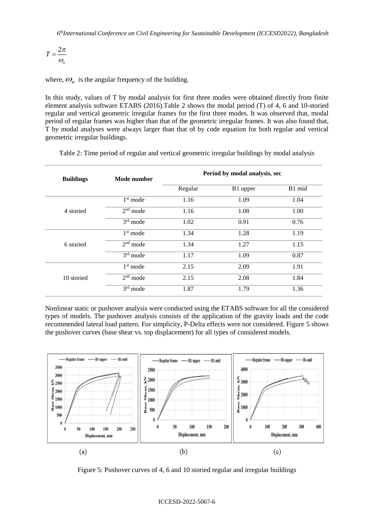$$
T=\frac{2\pi}{\omega_n}
$$

where,  $\omega_n$  is the angular frequency of the building.

In this study, values of T by modal analysis for first three modes were obtained directly from finite element analysis software ETABS (2016).Table 2 shows the modal period (T) of 4, 6 and 10-storied regular and vertical geometric irregular frames for the first three modes. It was observed that, modal period of regular frames was higher than that of the geometric irregular frames. It was also found that, T by modal analyses were always larger than that of by code equation for both regular and vertical geometric irregular buildings.

| <b>Buildings</b> | Mode number | Period by modal analysis, sec |          |        |  |
|------------------|-------------|-------------------------------|----------|--------|--|
|                  |             | Regular                       | B1 upper | B1 mid |  |
|                  | $1st$ mode  | 1.16                          | 1.09     | 1.04   |  |
| 4 storied        | $2nd$ mode  | 1.16                          | 1.08     | 1.00   |  |
|                  | $3rd$ mode  | 1.02                          | 0.91     | 0.76   |  |
| 6 storied        | $1st$ mode  | 1.34                          | 1.28     | 1.19   |  |
|                  | $2nd$ mode  | 1.34                          | 1.27     | 1.15   |  |
|                  | $3rd$ mode  | 1.17                          | 1.09     | 0.87   |  |
| 10 storied       | $1st$ mode  | 2.15                          | 2.09     | 1.91   |  |
|                  | $2nd$ mode  | 2.15                          | 2.08     | 1.84   |  |
|                  | 3rd mode    | 1.87                          | 1.79     | 1.36   |  |

Table 2: Time period of regular and vertical geometric irregular buildings by modal analysis

Nonlinear static or pushover analysis were conducted using the ETABS software for all the considered types of models. The pushover analysis consists of the application of the gravity loads and the code recommended lateral load pattern. For simplicity, P-Delta effects were not considered. Figure 5 shows the pushover curves (base shear vs. top displacement) for all types of considered models.



Figure 5: Pushover curves of 4, 6 and 10 storied regular and irregular buildings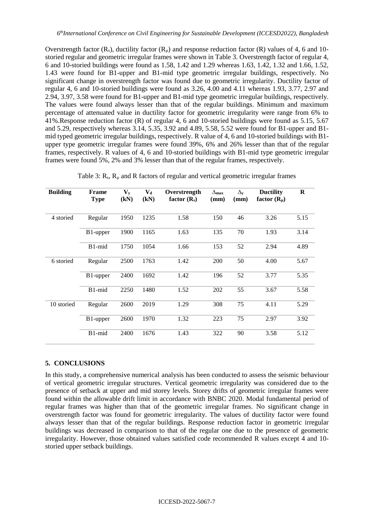Overstrength factor  $(R_s)$ , ductility factor  $(R_u)$  and response reduction factor  $(R)$  values of 4, 6 and 10storied regular and geometric irregular frames were shown in Table 3. Overstrength factor of regular 4, 6 and 10-storied buildings were found as 1.58, 1.42 and 1.29 whereas 1.63, 1.42, 1.32 and 1.66, 1.52, 1.43 were found for B1-upper and B1-mid type geometric irregular buildings, respectively. No significant change in overstrength factor was found due to geometric irregularity. Ductility factor of regular 4, 6 and 10-storied buildings were found as 3.26, 4.00 and 4.11 whereas 1.93, 3.77, 2.97 and 2.94, 3.97, 3.58 were found for B1-upper and B1-mid type geometric irregular buildings, respectively. The values were found always lesser than that of the regular buildings. Minimum and maximum percentage of attenuated value in ductility factor for geometric irregularity were range from 6% to 41%.Response reduction factor (R) of regular 4, 6 and 10-storied buildings were found as 5.15, 5.67 and 5.29, respectively whereas 3.14, 5.35, 3.92 and 4.89, 5.58, 5.52 were found for B1-upper and B1 mid typed geometric irregular buildings, respectively. R value of 4, 6 and 10-storied buildings with B1 upper type geometric irregular frames were found 39%, 6% and 26% lesser than that of the regular frames, respectively. R values of 4, 6 and 10-storied buildings with B1-mid type geometric irregular frames were found 5%, 2% and 3% lesser than that of the regular frames, respectively.

| <b>Building</b> | <b>Frame</b><br><b>Type</b> | $\mathbf{V}_{\mathbf{v}}$<br>(kN) | $V_{d}$<br>(kN) | Overstrength<br>factor $(R_s)$ | $\Delta$ max<br>(mm) | $\Delta_{\mathbf{v}}$<br>(mm) | <b>Ductility</b><br>factor $(R_{\mu})$ | $\bf{R}$ |
|-----------------|-----------------------------|-----------------------------------|-----------------|--------------------------------|----------------------|-------------------------------|----------------------------------------|----------|
| 4 storied       | Regular                     | 1950                              | 1235            | 1.58                           | 150                  | 46                            | 3.26                                   | 5.15     |
|                 | B <sub>1</sub> -upper       | 1900                              | 1165            | 1.63                           | 135                  | 70                            | 1.93                                   | 3.14     |
|                 | B1-mid                      | 1750                              | 1054            | 1.66                           | 153                  | 52                            | 2.94                                   | 4.89     |
| 6 storied       | Regular                     | 2500                              | 1763            | 1.42                           | 200                  | 50                            | 4.00                                   | 5.67     |
|                 | B <sub>1</sub> -upper       | 2400                              | 1692            | 1.42                           | 196                  | 52                            | 3.77                                   | 5.35     |
|                 | B1-mid                      | 2250                              | 1480            | 1.52                           | 202                  | 55                            | 3.67                                   | 5.58     |
| 10 storied      | Regular                     | 2600                              | 2019            | 1.29                           | 308                  | 75                            | 4.11                                   | 5.29     |
|                 | B1-upper                    | 2600                              | 1970            | 1.32                           | 223                  | 75                            | 2.97                                   | 3.92     |
|                 | B1-mid                      | 2400                              | 1676            | 1.43                           | 322                  | 90                            | 3.58                                   | 5.12     |

Table 3:  $R_s$ ,  $R_\mu$  and R factors of regular and vertical geometric irregular frames

# **5. CONCLUSIONS**

In this study, a comprehensive numerical analysis has been conducted to assess the seismic behaviour of vertical geometric irregular structures. Vertical geometric irregularity was considered due to the presence of setback at upper and mid storey levels. Storey drifts of geometric irregular frames were found within the allowable drift limit in accordance with BNBC 2020. Modal fundamental period of regular frames was higher than that of the geometric irregular frames. No significant change in overstrength factor was found for geometric irregularity. The values of ductility factor were found always lesser than that of the regular buildings. Response reduction factor in geometric irregular buildings was decreased in comparison to that of the regular one due to the presence of geometric irregularity. However, those obtained values satisfied code recommended R values except 4 and 10 storied upper setback buildings.